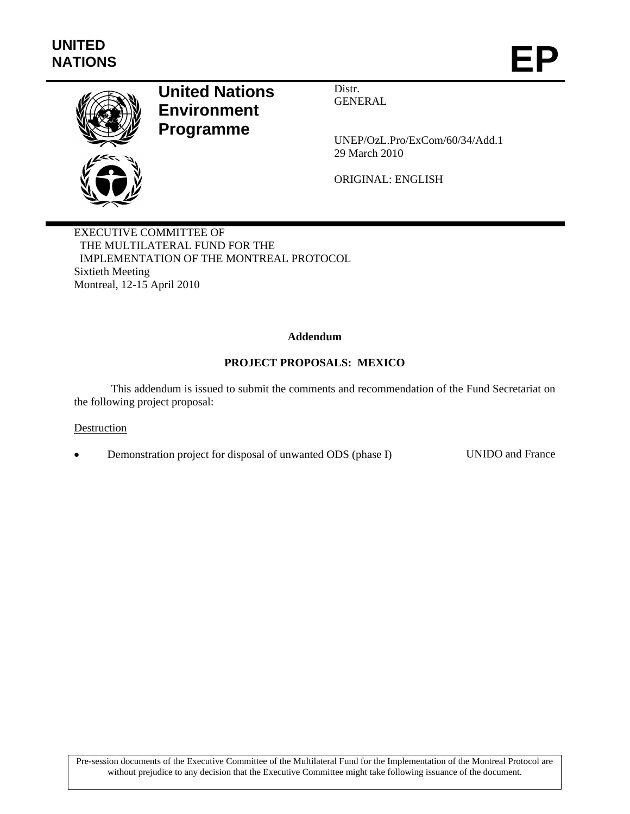

# **United Nations Environment Programme**

Distr. GENERAL

UNEP/OzL.Pro/ExCom/60/34/Add.1 29 March 2010

ORIGINAL: ENGLISH

EXECUTIVE COMMITTEE OF THE MULTILATERAL FUND FOR THE IMPLEMENTATION OF THE MONTREAL PROTOCOL Sixtieth Meeting Montreal, 12-15 April 2010

## **Addendum**

## **PROJECT PROPOSALS: MEXICO**

This addendum is issued to submit the comments and recommendation of the Fund Secretariat on the following project proposal:

#### Destruction

• Demonstration project for disposal of unwanted ODS (phase I) UNIDO and France

Pre-session documents of the Executive Committee of the Multilateral Fund for the Implementation of the Montreal Protocol are without prejudice to any decision that the Executive Committee might take following issuance of the document.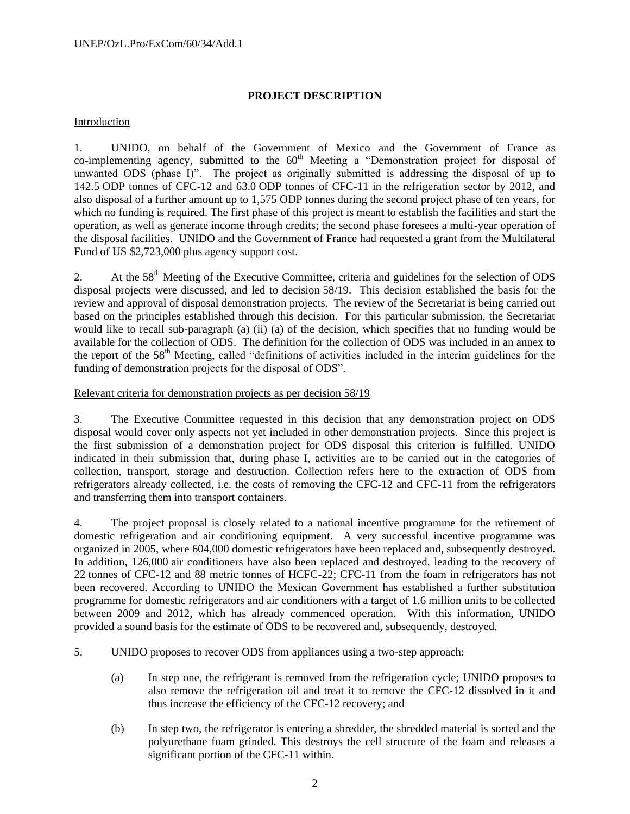# **PROJECT DESCRIPTION**

## Introduction

1. UNIDO, on behalf of the Government of Mexico and the Government of France as co-implementing agency, submitted to the  $60<sup>th</sup>$  Meeting a "Demonstration project for disposal of unwanted ODS (phase I)". The project as originally submitted is addressing the disposal of up to 142.5 ODP tonnes of CFC-12 and 63.0 ODP tonnes of CFC-11 in the refrigeration sector by 2012, and also disposal of a further amount up to 1,575 ODP tonnes during the second project phase of ten years, for which no funding is required. The first phase of this project is meant to establish the facilities and start the operation, as well as generate income through credits; the second phase foresees a multi-year operation of the disposal facilities. UNIDO and the Government of France had requested a grant from the Multilateral Fund of US \$2,723,000 plus agency support cost.

2. At the 58<sup>th</sup> Meeting of the Executive Committee, criteria and guidelines for the selection of ODS disposal projects were discussed, and led to decision 58/19. This decision established the basis for the review and approval of disposal demonstration projects. The review of the Secretariat is being carried out based on the principles established through this decision. For this particular submission, the Secretariat would like to recall sub-paragraph (a) (ii) (a) of the decision, which specifies that no funding would be available for the collection of ODS. The definition for the collection of ODS was included in an annex to the report of the 58th Meeting, called "definitions of activities included in the interim guidelines for the funding of demonstration projects for the disposal of ODS".

## Relevant criteria for demonstration projects as per decision 58/19

3. The Executive Committee requested in this decision that any demonstration project on ODS disposal would cover only aspects not yet included in other demonstration projects. Since this project is the first submission of a demonstration project for ODS disposal this criterion is fulfilled. UNIDO indicated in their submission that, during phase I, activities are to be carried out in the categories of collection, transport, storage and destruction. Collection refers here to the extraction of ODS from refrigerators already collected, i.e. the costs of removing the CFC-12 and CFC-11 from the refrigerators and transferring them into transport containers.

4. The project proposal is closely related to a national incentive programme for the retirement of domestic refrigeration and air conditioning equipment. A very successful incentive programme was organized in 2005, where 604,000 domestic refrigerators have been replaced and, subsequently destroyed. In addition, 126,000 air conditioners have also been replaced and destroyed, leading to the recovery of 22 tonnes of CFC-12 and 88 metric tonnes of HCFC-22; CFC-11 from the foam in refrigerators has not been recovered. According to UNIDO the Mexican Government has established a further substitution programme for domestic refrigerators and air conditioners with a target of 1.6 million units to be collected between 2009 and 2012, which has already commenced operation. With this information, UNIDO provided a sound basis for the estimate of ODS to be recovered and, subsequently, destroyed.

- 5. UNIDO proposes to recover ODS from appliances using a two-step approach:
	- (a) In step one, the refrigerant is removed from the refrigeration cycle; UNIDO proposes to also remove the refrigeration oil and treat it to remove the CFC-12 dissolved in it and thus increase the efficiency of the CFC-12 recovery; and
	- (b) In step two, the refrigerator is entering a shredder, the shredded material is sorted and the polyurethane foam grinded. This destroys the cell structure of the foam and releases a significant portion of the CFC-11 within.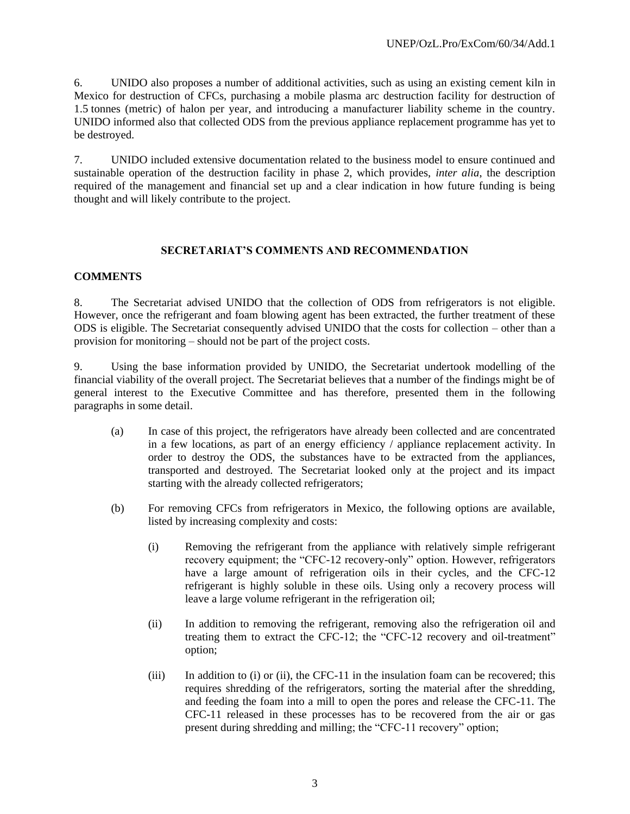6. UNIDO also proposes a number of additional activities, such as using an existing cement kiln in Mexico for destruction of CFCs, purchasing a mobile plasma arc destruction facility for destruction of 1.5 tonnes (metric) of halon per year, and introducing a manufacturer liability scheme in the country. UNIDO informed also that collected ODS from the previous appliance replacement programme has yet to be destroyed.

7. UNIDO included extensive documentation related to the business model to ensure continued and sustainable operation of the destruction facility in phase 2, which provides, *inter alia*, the description required of the management and financial set up and a clear indication in how future funding is being thought and will likely contribute to the project.

#### **SECRETARIAT'S COMMENTS AND RECOMMENDATION**

## **COMMENTS**

8. The Secretariat advised UNIDO that the collection of ODS from refrigerators is not eligible. However, once the refrigerant and foam blowing agent has been extracted, the further treatment of these ODS is eligible. The Secretariat consequently advised UNIDO that the costs for collection – other than a provision for monitoring – should not be part of the project costs.

9. Using the base information provided by UNIDO, the Secretariat undertook modelling of the financial viability of the overall project. The Secretariat believes that a number of the findings might be of general interest to the Executive Committee and has therefore, presented them in the following paragraphs in some detail.

- (a) In case of this project, the refrigerators have already been collected and are concentrated in a few locations, as part of an energy efficiency / appliance replacement activity. In order to destroy the ODS, the substances have to be extracted from the appliances, transported and destroyed. The Secretariat looked only at the project and its impact starting with the already collected refrigerators;
- (b) For removing CFCs from refrigerators in Mexico, the following options are available, listed by increasing complexity and costs:
	- (i) Removing the refrigerant from the appliance with relatively simple refrigerant recovery equipment; the "CFC-12 recovery-only" option. However, refrigerators have a large amount of refrigeration oils in their cycles, and the CFC-12 refrigerant is highly soluble in these oils. Using only a recovery process will leave a large volume refrigerant in the refrigeration oil;
	- (ii) In addition to removing the refrigerant, removing also the refrigeration oil and treating them to extract the CFC-12; the "CFC-12 recovery and oil-treatment" option;
	- (iii) In addition to (i) or (ii), the CFC-11 in the insulation foam can be recovered; this requires shredding of the refrigerators, sorting the material after the shredding, and feeding the foam into a mill to open the pores and release the CFC-11. The CFC-11 released in these processes has to be recovered from the air or gas present during shredding and milling; the "CFC-11 recovery" option;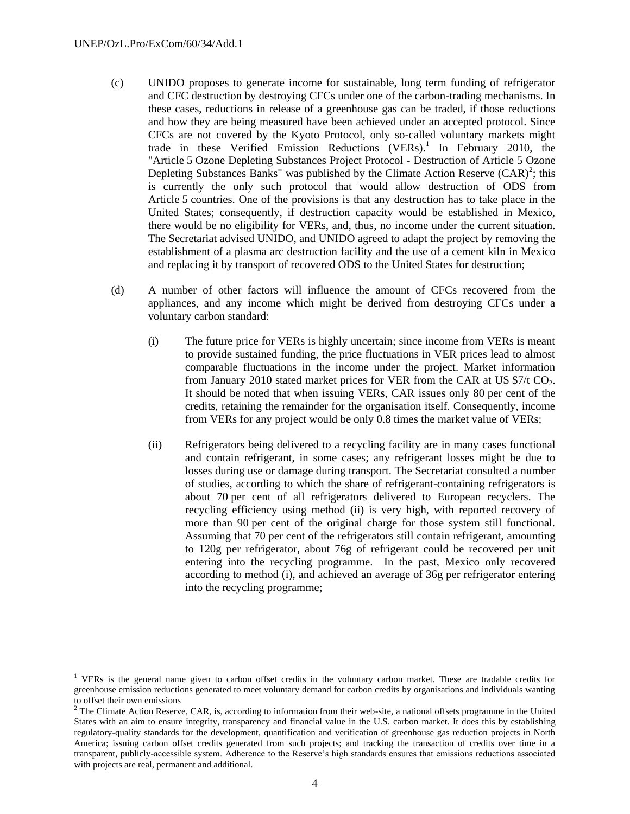l

- (c) UNIDO proposes to generate income for sustainable, long term funding of refrigerator and CFC destruction by destroying CFCs under one of the carbon-trading mechanisms. In these cases, reductions in release of a greenhouse gas can be traded, if those reductions and how they are being measured have been achieved under an accepted protocol. Since CFCs are not covered by the Kyoto Protocol, only so-called voluntary markets might trade in these Verified Emission Reductions (VERs).<sup>1</sup> In February 2010, the "Article 5 Ozone Depleting Substances Project Protocol - Destruction of Article 5 Ozone Depleting Substances Banks" was published by the Climate Action Reserve  $(CAR)^2$ ; this is currently the only such protocol that would allow destruction of ODS from Article 5 countries. One of the provisions is that any destruction has to take place in the United States; consequently, if destruction capacity would be established in Mexico, there would be no eligibility for VERs, and, thus, no income under the current situation. The Secretariat advised UNIDO, and UNIDO agreed to adapt the project by removing the establishment of a plasma arc destruction facility and the use of a cement kiln in Mexico and replacing it by transport of recovered ODS to the United States for destruction;
- (d) A number of other factors will influence the amount of CFCs recovered from the appliances, and any income which might be derived from destroying CFCs under a voluntary carbon standard:
	- (i) The future price for VERs is highly uncertain; since income from VERs is meant to provide sustained funding, the price fluctuations in VER prices lead to almost comparable fluctuations in the income under the project. Market information from January 2010 stated market prices for VER from the CAR at US  $\frac{1}{2}$  CO<sub>2</sub>. It should be noted that when issuing VERs, CAR issues only 80 per cent of the credits, retaining the remainder for the organisation itself. Consequently, income from VERs for any project would be only 0.8 times the market value of VERs;
	- (ii) Refrigerators being delivered to a recycling facility are in many cases functional and contain refrigerant, in some cases; any refrigerant losses might be due to losses during use or damage during transport. The Secretariat consulted a number of studies, according to which the share of refrigerant-containing refrigerators is about 70 per cent of all refrigerators delivered to European recyclers. The recycling efficiency using method (ii) is very high, with reported recovery of more than 90 per cent of the original charge for those system still functional. Assuming that 70 per cent of the refrigerators still contain refrigerant, amounting to 120g per refrigerator, about 76g of refrigerant could be recovered per unit entering into the recycling programme. In the past, Mexico only recovered according to method (i), and achieved an average of 36g per refrigerator entering into the recycling programme;

<sup>&</sup>lt;sup>1</sup> VERs is the general name given to carbon offset credits in the voluntary carbon market. These are tradable credits for greenhouse emission reductions generated to meet voluntary demand for carbon credits by organisations and individuals wanting to offset their own emissions

 $<sup>2</sup>$  The Climate Action Reserve, CAR, is, according to information from their web-site, a national offsets programme in the United</sup> States with an aim to ensure integrity, transparency and financial value in the U.S. carbon market. It does this by establishing regulatory-quality standards for the development, quantification and verification of greenhouse gas reduction projects in North America; issuing carbon offset credits generated from such projects; and tracking the transaction of credits over time in a transparent, publicly-accessible system. Adherence to the Reserve's high standards ensures that emissions reductions associated with projects are real, permanent and additional.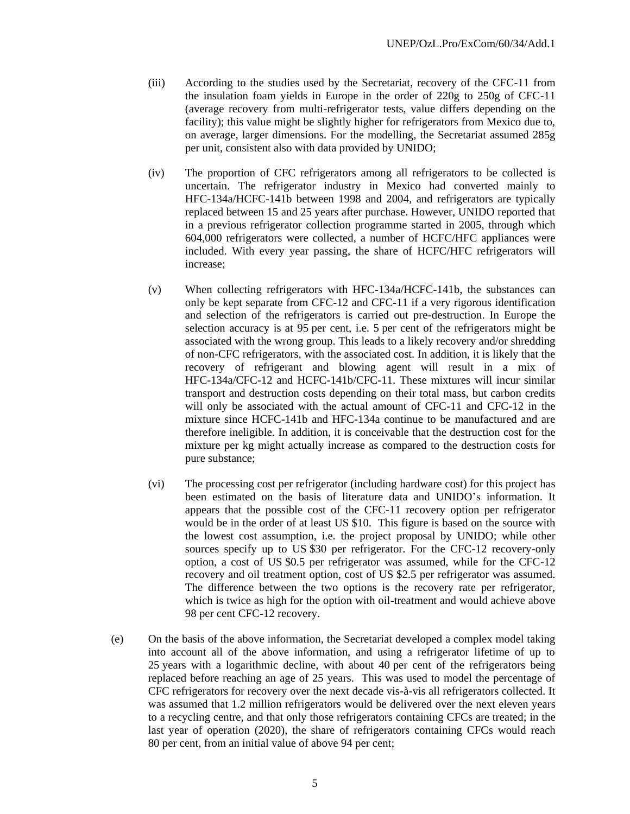- (iii) According to the studies used by the Secretariat, recovery of the CFC-11 from the insulation foam yields in Europe in the order of 220g to 250g of CFC-11 (average recovery from multi-refrigerator tests, value differs depending on the facility); this value might be slightly higher for refrigerators from Mexico due to, on average, larger dimensions. For the modelling, the Secretariat assumed 285g per unit, consistent also with data provided by UNIDO;
- (iv) The proportion of CFC refrigerators among all refrigerators to be collected is uncertain. The refrigerator industry in Mexico had converted mainly to HFC-134a/HCFC-141b between 1998 and 2004, and refrigerators are typically replaced between 15 and 25 years after purchase. However, UNIDO reported that in a previous refrigerator collection programme started in 2005, through which 604,000 refrigerators were collected, a number of HCFC/HFC appliances were included. With every year passing, the share of HCFC/HFC refrigerators will increase;
- (v) When collecting refrigerators with HFC-134a/HCFC-141b, the substances can only be kept separate from CFC-12 and CFC-11 if a very rigorous identification and selection of the refrigerators is carried out pre-destruction. In Europe the selection accuracy is at 95 per cent, i.e. 5 per cent of the refrigerators might be associated with the wrong group. This leads to a likely recovery and/or shredding of non-CFC refrigerators, with the associated cost. In addition, it is likely that the recovery of refrigerant and blowing agent will result in a mix of HFC-134a/CFC-12 and HCFC-141b/CFC-11. These mixtures will incur similar transport and destruction costs depending on their total mass, but carbon credits will only be associated with the actual amount of CFC-11 and CFC-12 in the mixture since HCFC-141b and HFC-134a continue to be manufactured and are therefore ineligible. In addition, it is conceivable that the destruction cost for the mixture per kg might actually increase as compared to the destruction costs for pure substance;
- (vi) The processing cost per refrigerator (including hardware cost) for this project has been estimated on the basis of literature data and UNIDO's information. It appears that the possible cost of the CFC-11 recovery option per refrigerator would be in the order of at least US \$10. This figure is based on the source with the lowest cost assumption, i.e. the project proposal by UNIDO; while other sources specify up to US \$30 per refrigerator. For the CFC-12 recovery-only option, a cost of US \$0.5 per refrigerator was assumed, while for the CFC-12 recovery and oil treatment option, cost of US \$2.5 per refrigerator was assumed. The difference between the two options is the recovery rate per refrigerator, which is twice as high for the option with oil-treatment and would achieve above 98 per cent CFC-12 recovery.
- (e) On the basis of the above information, the Secretariat developed a complex model taking into account all of the above information, and using a refrigerator lifetime of up to 25 years with a logarithmic decline, with about 40 per cent of the refrigerators being replaced before reaching an age of 25 years. This was used to model the percentage of CFC refrigerators for recovery over the next decade vis-à-vis all refrigerators collected. It was assumed that 1.2 million refrigerators would be delivered over the next eleven years to a recycling centre, and that only those refrigerators containing CFCs are treated; in the last year of operation (2020), the share of refrigerators containing CFCs would reach 80 per cent, from an initial value of above 94 per cent;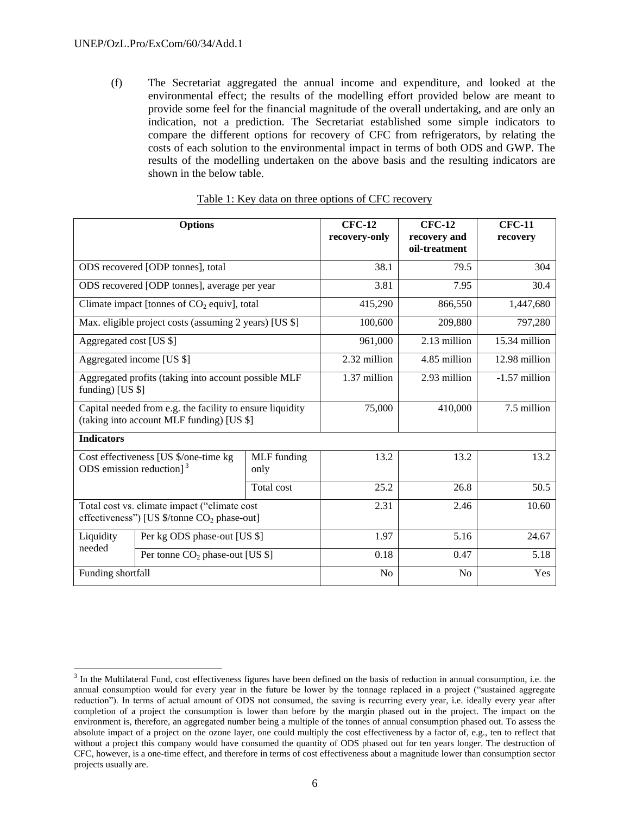(f) The Secretariat aggregated the annual income and expenditure, and looked at the environmental effect; the results of the modelling effort provided below are meant to provide some feel for the financial magnitude of the overall undertaking, and are only an indication, not a prediction. The Secretariat established some simple indicators to compare the different options for recovery of CFC from refrigerators, by relating the costs of each solution to the environmental impact in terms of both ODS and GWP. The results of the modelling undertaken on the above basis and the resulting indicators are shown in the below table.

|                         | <b>Options</b>                                                                                          |                            | <b>CFC-12</b><br>recovery-only | <b>CFC-12</b><br>recovery and<br>oil-treatment | <b>CFC-11</b><br>recovery |
|-------------------------|---------------------------------------------------------------------------------------------------------|----------------------------|--------------------------------|------------------------------------------------|---------------------------|
|                         | ODS recovered [ODP tonnes], total                                                                       |                            | 38.1                           | 79.5                                           | 304                       |
|                         | ODS recovered [ODP tonnes], average per year                                                            |                            | 3.81                           | 7.95                                           | 30.4                      |
|                         | Climate impact [tonnes of $CO2$ equiv], total                                                           |                            | 415,290                        | 866,550                                        | 1,447,680                 |
|                         | Max. eligible project costs (assuming 2 years) [US \$]                                                  |                            | 100,600                        | 209,880                                        | 797,280                   |
| Aggregated cost [US \$] |                                                                                                         |                            | 961,000                        | 2.13 million                                   | 15.34 million             |
|                         | Aggregated income [US \$]                                                                               |                            | 2.32 million                   | 4.85 million                                   | 12.98 million             |
| funding) [US $$$ ]      | Aggregated profits (taking into account possible MLF                                                    |                            | 1.37 million                   | 2.93 million                                   | -1.57 million             |
|                         | Capital needed from e.g. the facility to ensure liquidity<br>(taking into account MLF funding) [US \$]  |                            | 75,000                         | 410,000                                        | 7.5 million               |
| <b>Indicators</b>       |                                                                                                         |                            |                                |                                                |                           |
|                         | Cost effectiveness [US \$/one-time kg<br>ODS emission reduction] $3$                                    | <b>MLF</b> funding<br>only | 13.2                           | 13.2                                           | 13.2                      |
|                         |                                                                                                         | Total cost                 | 25.2                           | 26.8                                           | 50.5                      |
|                         | Total cost vs. climate impact ("climate cost<br>effectiveness") [US \$/tonne CO <sub>2</sub> phase-out] |                            | 2.31                           | 2.46                                           | 10.60                     |
| Liquidity               | Per kg ODS phase-out [US \$]                                                                            |                            | 1.97                           | 5.16                                           | 24.67                     |
| needed                  | Per tonne $CO2$ phase-out [US \$]                                                                       |                            | 0.18                           | 0.47                                           | 5.18                      |
| Funding shortfall       |                                                                                                         |                            | N <sub>o</sub>                 | N <sub>o</sub>                                 | Yes                       |

| Table 1: Key data on three options of CFC recovery |
|----------------------------------------------------|
|----------------------------------------------------|

l <sup>3</sup> In the Multilateral Fund, cost effectiveness figures have been defined on the basis of reduction in annual consumption, i.e. the annual consumption would for every year in the future be lower by the tonnage replaced in a project ("sustained aggregate reduction"). In terms of actual amount of ODS not consumed, the saving is recurring every year, i.e. ideally every year after completion of a project the consumption is lower than before by the margin phased out in the project. The impact on the environment is, therefore, an aggregated number being a multiple of the tonnes of annual consumption phased out. To assess the absolute impact of a project on the ozone layer, one could multiply the cost effectiveness by a factor of, e.g., ten to reflect that without a project this company would have consumed the quantity of ODS phased out for ten years longer. The destruction of CFC, however, is a one-time effect, and therefore in terms of cost effectiveness about a magnitude lower than consumption sector projects usually are.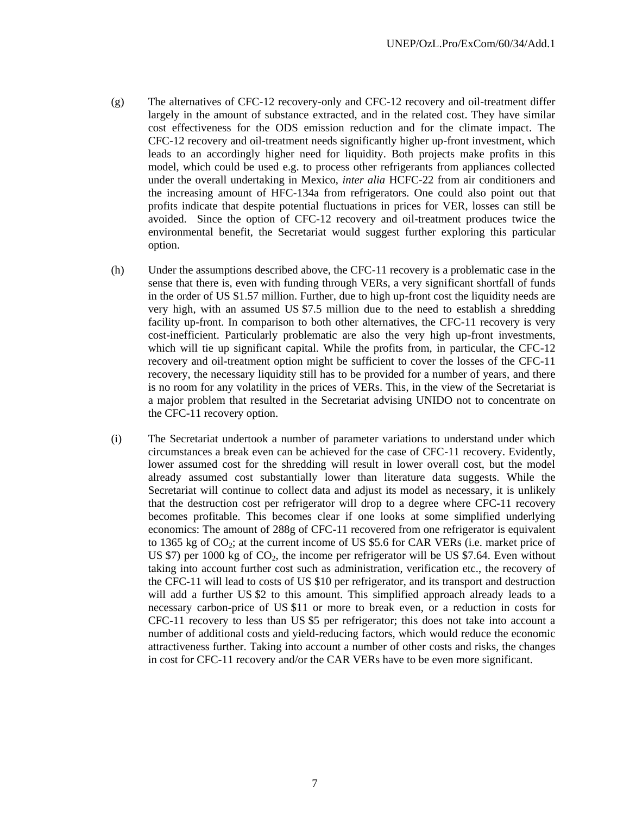- (g) The alternatives of CFC-12 recovery-only and CFC-12 recovery and oil-treatment differ largely in the amount of substance extracted, and in the related cost. They have similar cost effectiveness for the ODS emission reduction and for the climate impact. The CFC-12 recovery and oil-treatment needs significantly higher up-front investment, which leads to an accordingly higher need for liquidity. Both projects make profits in this model, which could be used e.g. to process other refrigerants from appliances collected under the overall undertaking in Mexico, *inter alia* HCFC-22 from air conditioners and the increasing amount of HFC-134a from refrigerators. One could also point out that profits indicate that despite potential fluctuations in prices for VER, losses can still be avoided. Since the option of CFC-12 recovery and oil-treatment produces twice the environmental benefit, the Secretariat would suggest further exploring this particular option.
- (h) Under the assumptions described above, the CFC-11 recovery is a problematic case in the sense that there is, even with funding through VERs, a very significant shortfall of funds in the order of US \$1.57 million. Further, due to high up-front cost the liquidity needs are very high, with an assumed US \$7.5 million due to the need to establish a shredding facility up-front. In comparison to both other alternatives, the CFC-11 recovery is very cost-inefficient. Particularly problematic are also the very high up-front investments, which will tie up significant capital. While the profits from, in particular, the CFC-12 recovery and oil-treatment option might be sufficient to cover the losses of the CFC-11 recovery, the necessary liquidity still has to be provided for a number of years, and there is no room for any volatility in the prices of VERs. This, in the view of the Secretariat is a major problem that resulted in the Secretariat advising UNIDO not to concentrate on the CFC-11 recovery option.
- (i) The Secretariat undertook a number of parameter variations to understand under which circumstances a break even can be achieved for the case of CFC-11 recovery. Evidently, lower assumed cost for the shredding will result in lower overall cost, but the model already assumed cost substantially lower than literature data suggests. While the Secretariat will continue to collect data and adjust its model as necessary, it is unlikely that the destruction cost per refrigerator will drop to a degree where CFC-11 recovery becomes profitable. This becomes clear if one looks at some simplified underlying economics: The amount of 288g of CFC-11 recovered from one refrigerator is equivalent to 1365 kg of  $CO_2$ ; at the current income of US \$5.6 for CAR VERs (i.e. market price of US \$7) per 1000 kg of  $CO<sub>2</sub>$ , the income per refrigerator will be US \$7.64. Even without taking into account further cost such as administration, verification etc., the recovery of the CFC-11 will lead to costs of US \$10 per refrigerator, and its transport and destruction will add a further US \$2 to this amount. This simplified approach already leads to a necessary carbon-price of US \$11 or more to break even, or a reduction in costs for CFC-11 recovery to less than US \$5 per refrigerator; this does not take into account a number of additional costs and yield-reducing factors, which would reduce the economic attractiveness further. Taking into account a number of other costs and risks, the changes in cost for CFC-11 recovery and/or the CAR VERs have to be even more significant.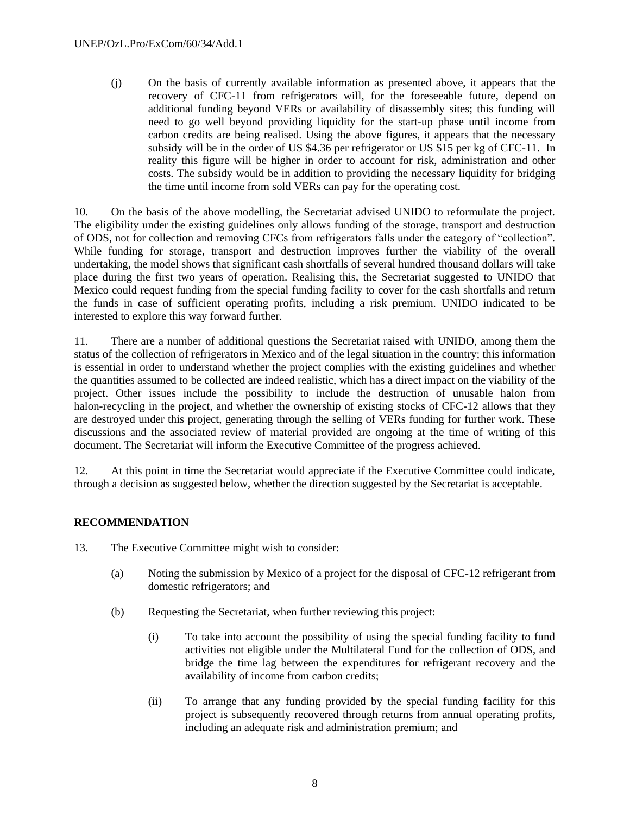(j) On the basis of currently available information as presented above, it appears that the recovery of CFC-11 from refrigerators will, for the foreseeable future, depend on additional funding beyond VERs or availability of disassembly sites; this funding will need to go well beyond providing liquidity for the start-up phase until income from carbon credits are being realised. Using the above figures, it appears that the necessary subsidy will be in the order of US \$4.36 per refrigerator or US \$15 per kg of CFC-11. In reality this figure will be higher in order to account for risk, administration and other costs. The subsidy would be in addition to providing the necessary liquidity for bridging the time until income from sold VERs can pay for the operating cost.

10. On the basis of the above modelling, the Secretariat advised UNIDO to reformulate the project. The eligibility under the existing guidelines only allows funding of the storage, transport and destruction of ODS, not for collection and removing CFCs from refrigerators falls under the category of "collection". While funding for storage, transport and destruction improves further the viability of the overall undertaking, the model shows that significant cash shortfalls of several hundred thousand dollars will take place during the first two years of operation. Realising this, the Secretariat suggested to UNIDO that Mexico could request funding from the special funding facility to cover for the cash shortfalls and return the funds in case of sufficient operating profits, including a risk premium. UNIDO indicated to be interested to explore this way forward further.

11. There are a number of additional questions the Secretariat raised with UNIDO, among them the status of the collection of refrigerators in Mexico and of the legal situation in the country; this information is essential in order to understand whether the project complies with the existing guidelines and whether the quantities assumed to be collected are indeed realistic, which has a direct impact on the viability of the project. Other issues include the possibility to include the destruction of unusable halon from halon-recycling in the project, and whether the ownership of existing stocks of CFC-12 allows that they are destroyed under this project, generating through the selling of VERs funding for further work. These discussions and the associated review of material provided are ongoing at the time of writing of this document. The Secretariat will inform the Executive Committee of the progress achieved.

12. At this point in time the Secretariat would appreciate if the Executive Committee could indicate, through a decision as suggested below, whether the direction suggested by the Secretariat is acceptable.

# **RECOMMENDATION**

- 13. The Executive Committee might wish to consider:
	- (a) Noting the submission by Mexico of a project for the disposal of CFC-12 refrigerant from domestic refrigerators; and
	- (b) Requesting the Secretariat, when further reviewing this project:
		- (i) To take into account the possibility of using the special funding facility to fund activities not eligible under the Multilateral Fund for the collection of ODS, and bridge the time lag between the expenditures for refrigerant recovery and the availability of income from carbon credits;
		- (ii) To arrange that any funding provided by the special funding facility for this project is subsequently recovered through returns from annual operating profits, including an adequate risk and administration premium; and